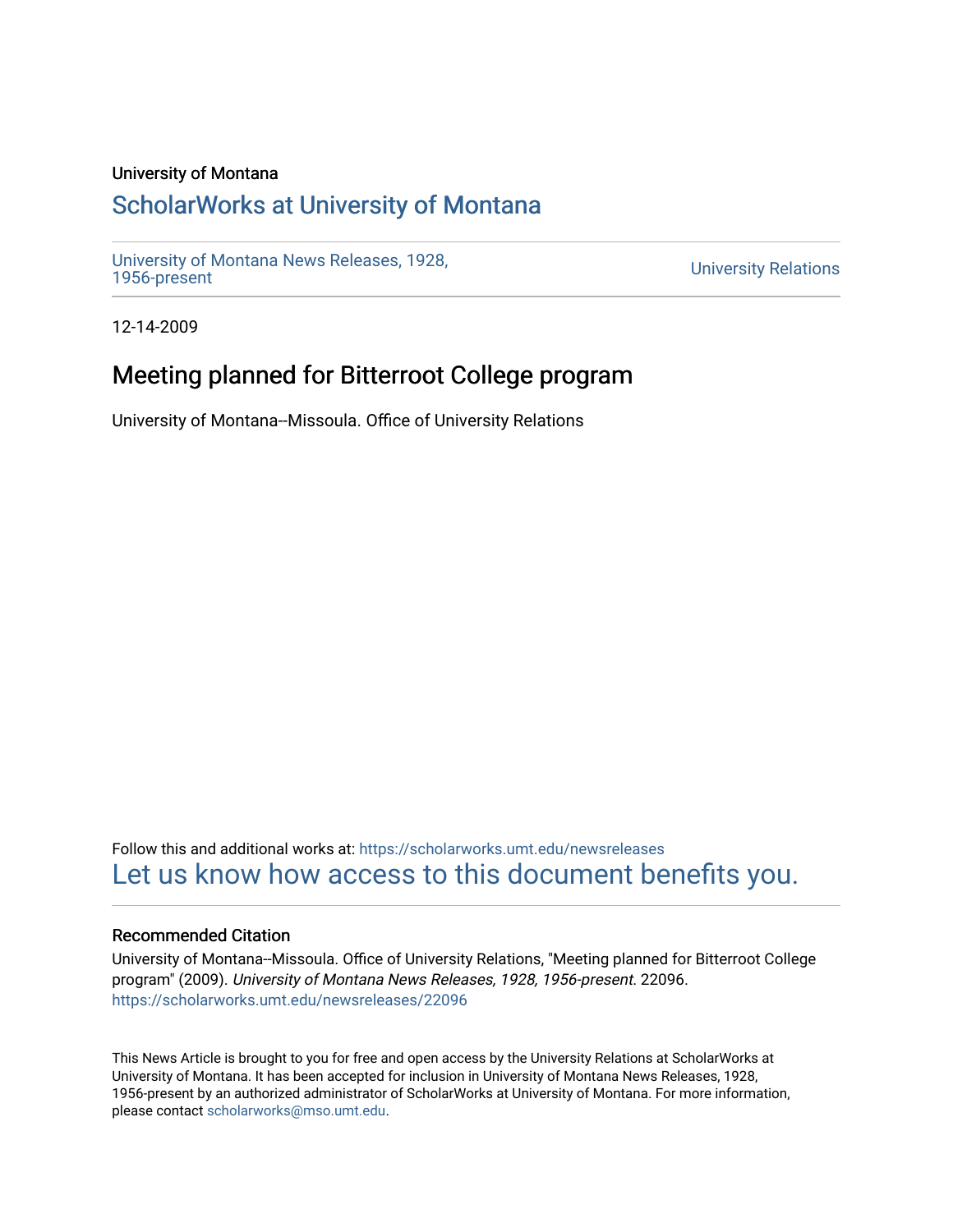#### University of Montana

# [ScholarWorks at University of Montana](https://scholarworks.umt.edu/)

[University of Montana News Releases, 1928,](https://scholarworks.umt.edu/newsreleases) 

**University Relations** 

12-14-2009

## Meeting planned for Bitterroot College program

University of Montana--Missoula. Office of University Relations

Follow this and additional works at: [https://scholarworks.umt.edu/newsreleases](https://scholarworks.umt.edu/newsreleases?utm_source=scholarworks.umt.edu%2Fnewsreleases%2F22096&utm_medium=PDF&utm_campaign=PDFCoverPages) [Let us know how access to this document benefits you.](https://goo.gl/forms/s2rGfXOLzz71qgsB2) 

#### Recommended Citation

University of Montana--Missoula. Office of University Relations, "Meeting planned for Bitterroot College program" (2009). University of Montana News Releases, 1928, 1956-present. 22096. [https://scholarworks.umt.edu/newsreleases/22096](https://scholarworks.umt.edu/newsreleases/22096?utm_source=scholarworks.umt.edu%2Fnewsreleases%2F22096&utm_medium=PDF&utm_campaign=PDFCoverPages) 

This News Article is brought to you for free and open access by the University Relations at ScholarWorks at University of Montana. It has been accepted for inclusion in University of Montana News Releases, 1928, 1956-present by an authorized administrator of ScholarWorks at University of Montana. For more information, please contact [scholarworks@mso.umt.edu.](mailto:scholarworks@mso.umt.edu)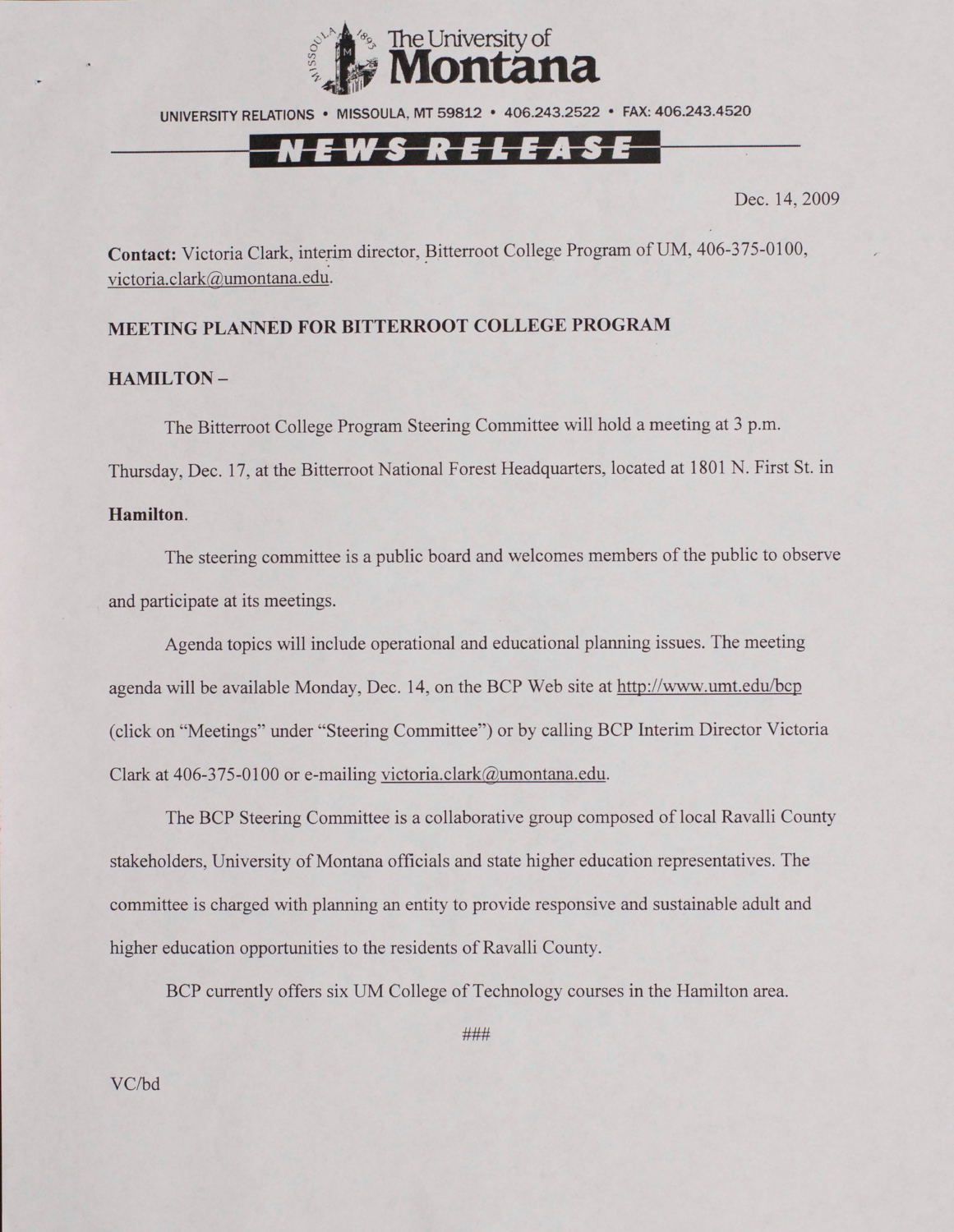

UNIVERSITY RELATIONS • MISSOULA. MT 59812 • 406.243.2522 • FAX: 406.243.4520

### K E L

Dec. 14, 2009

**Contact:** Victoria Clark, interim director, Bitterroot College Program of UM, 406-375-0100, [victoria.clark@umontana.edu.](mailto:victoria.clark@umontana.edu)

### **MEETING PLANNED FOR BITTERROOT COLLEGE PROGRAM**

#### **HAMILTON -**

The Bitterroot College Program Steering Committee will hold a meeting at 3 p.m. Thursday, Dec. 17, at the Bitterroot National Forest Headquarters, located at 1801 N. First St. in **Hamilton.**

The steering committee is a public board and welcomes members of the public to observe and participate at its meetings.

Agenda topics will include operational and educational planning issues. The meeting agenda will be available Monday, Dec. 14, on the BCP Web site at http://www.umt.edu/bcp (click on "Meetings" under "Steering Committee") or by calling BCP Interim Director Victoria Clark at 406-375-0100 or e-mailing [victoria.clark@umontana.edu.](mailto:victoria.clark@umontana.edu)

The BCP Steering Committee is a collaborative group composed of local Ravalli County stakeholders, University of Montana officials and state higher education representatives. The committee is charged with planning an entity to provide responsive and sustainable adult and higher education opportunities to the residents of Ravalli County.

BCP currently offers six UM College of Technology courses in the Hamilton area.

VC/bd